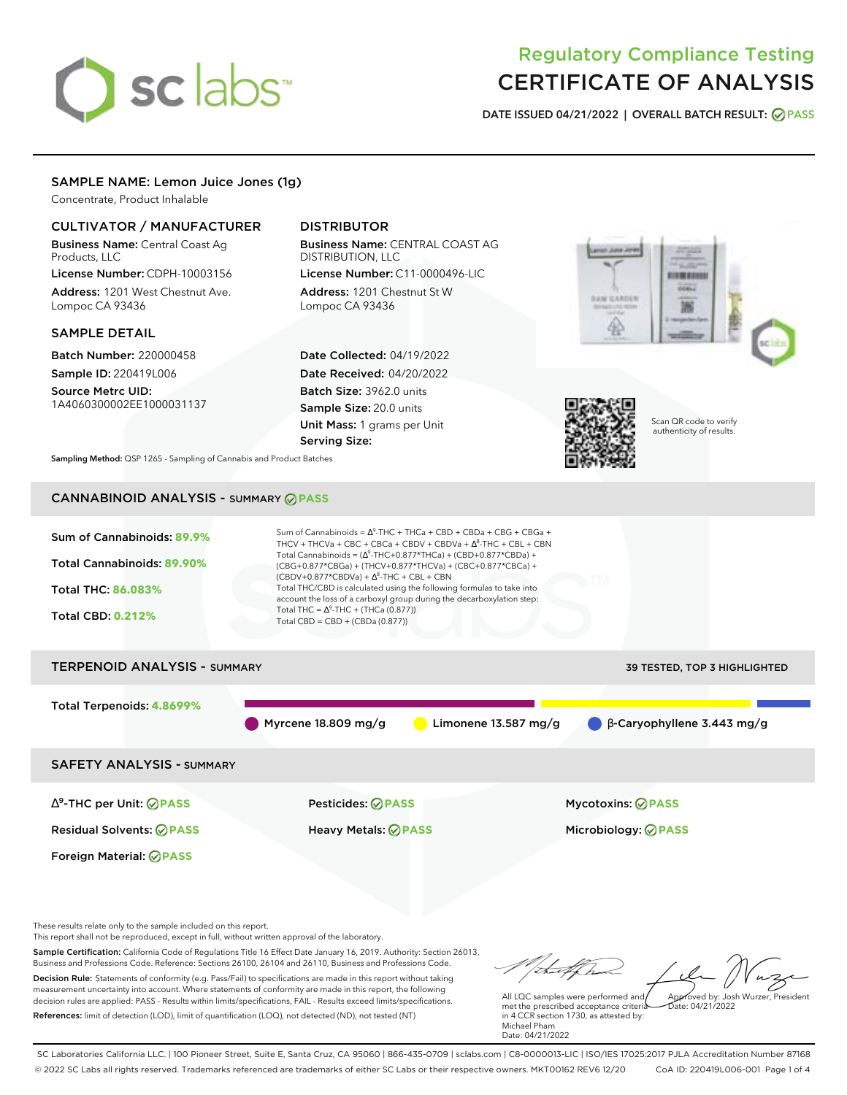# sclabs<sup>\*</sup>

# Regulatory Compliance Testing CERTIFICATE OF ANALYSIS

**DATE ISSUED 04/21/2022 | OVERALL BATCH RESULT: PASS**

# SAMPLE NAME: Lemon Juice Jones (1g)

Concentrate, Product Inhalable

# CULTIVATOR / MANUFACTURER

Business Name: Central Coast Ag Products, LLC

License Number: CDPH-10003156 Address: 1201 West Chestnut Ave. Lompoc CA 93436

## SAMPLE DETAIL

Batch Number: 220000458 Sample ID: 220419L006

Source Metrc UID: 1A4060300002EE1000031137

# DISTRIBUTOR

Business Name: CENTRAL COAST AG DISTRIBUTION, LLC License Number: C11-0000496-LIC

Address: 1201 Chestnut St W Lompoc CA 93436

Date Collected: 04/19/2022 Date Received: 04/20/2022 Batch Size: 3962.0 units Sample Size: 20.0 units Unit Mass: 1 grams per Unit Serving Size:





Scan QR code to verify authenticity of results.

**Sampling Method:** QSP 1265 - Sampling of Cannabis and Product Batches

# CANNABINOID ANALYSIS - SUMMARY **PASS**



These results relate only to the sample included on this report.

This report shall not be reproduced, except in full, without written approval of the laboratory.

Sample Certification: California Code of Regulations Title 16 Effect Date January 16, 2019. Authority: Section 26013, Business and Professions Code. Reference: Sections 26100, 26104 and 26110, Business and Professions Code. Decision Rule: Statements of conformity (e.g. Pass/Fail) to specifications are made in this report without taking measurement uncertainty into account. Where statements of conformity are made in this report, the following decision rules are applied: PASS - Results within limits/specifications, FAIL - Results exceed limits/specifications.

References: limit of detection (LOD), limit of quantification (LOQ), not detected (ND), not tested (NT)

Approved by: Josh Wurzer, President

 $hat: 04/21/2022$ 

All LQC samples were performed and met the prescribed acceptance criteria in 4 CCR section 1730, as attested by: Michael Pham Date: 04/21/2022

SC Laboratories California LLC. | 100 Pioneer Street, Suite E, Santa Cruz, CA 95060 | 866-435-0709 | sclabs.com | C8-0000013-LIC | ISO/IES 17025:2017 PJLA Accreditation Number 87168 © 2022 SC Labs all rights reserved. Trademarks referenced are trademarks of either SC Labs or their respective owners. MKT00162 REV6 12/20 CoA ID: 220419L006-001 Page 1 of 4